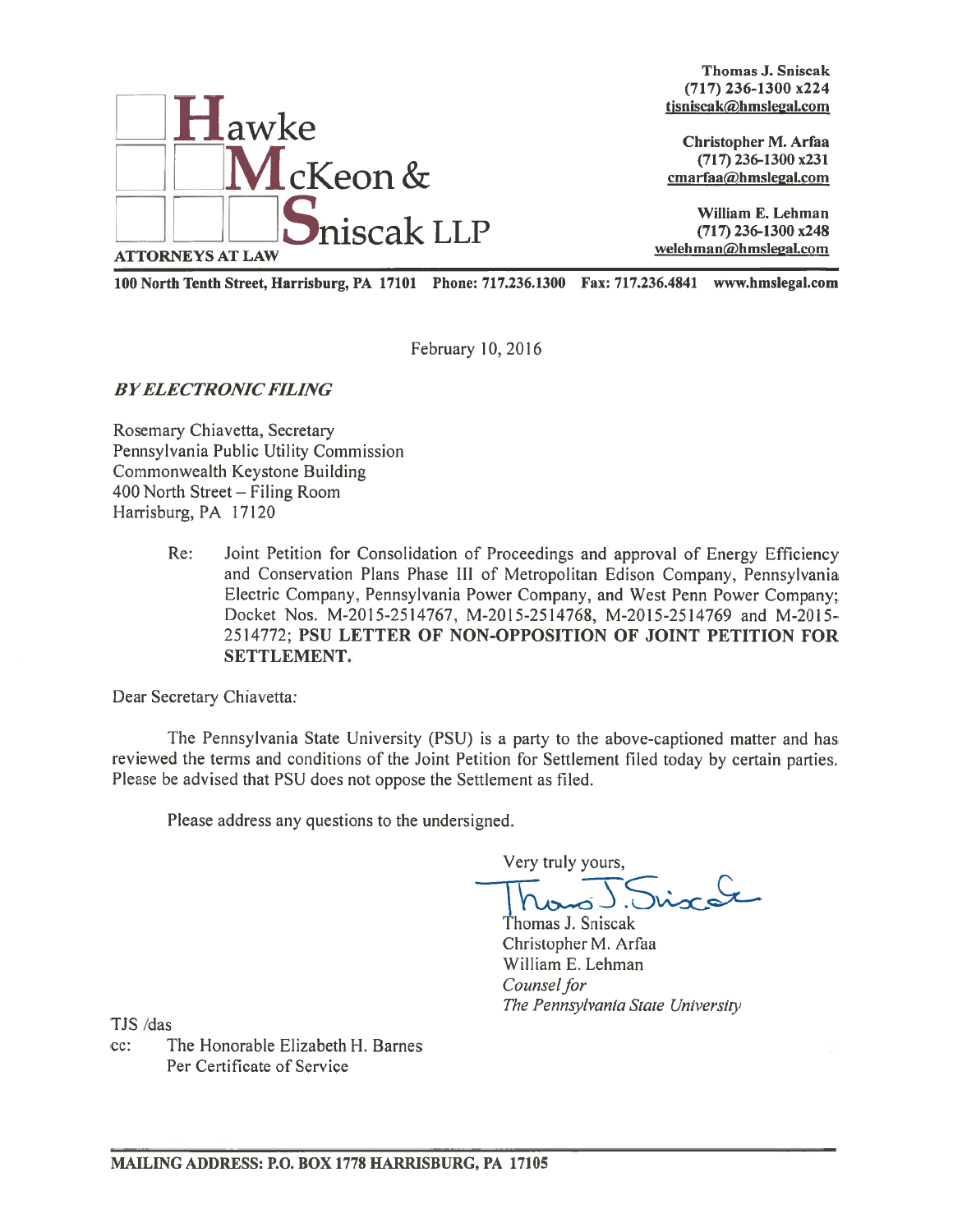

Thomas J. Sniscak (717) 236-1300 x224 tisniscak@hmslegal.com

(717) 236-1300 x231 cmarfaa@hmslegal.com

100 North Tenth Street, Harrisburg, PA 17101 Phone: 717.236.1300 Fax: 717.236.4841 www.hms1egal.com

February 10, 2016

**BY ELECTRONIC FILING** 

Rosemary Chiavetta, Secretary Pennsylvania Public Utility Commission Commonwealth Keystone Building 400 North Street — Filing Room Harrisburg, PA 17120

> Re: Joint Petition for Consolidation of Proceedings and approval of Energy Efficiency and Conservation Plans Phase Ill of Metropolitan Edison Company, Pennsylvania Electric Company, Pennsylvania Power Company, and West Penn Power Company; Docket Nos. M-2015-2514767, M-2015-2514768, M-2015-2514769 and M-2015-2514772; PSU LETTER OF NON-OPPOSITION OF JOINT PETITION FOR SETTLEMENT.

Dear Secretary Chiavetta:

The Pennsylvania State University (PSU) is <sup>a</sup> party to the above-captioned matter and has reviewed the terms and conditions of the Joint Petition for Settlement filed today by certain parties. Please be advised that PSU does not oppose the Settlement as filed.

Please address any questions to the undersigned.

Very truly yours,

Siscot

Thomas J. Sniscak Christopher M. Arfaa William E. Lehman Counsel for The Pennsylvania State University

TJS /das

cc: The Honorable Elizabeth H. Barnes Per Certificate of Service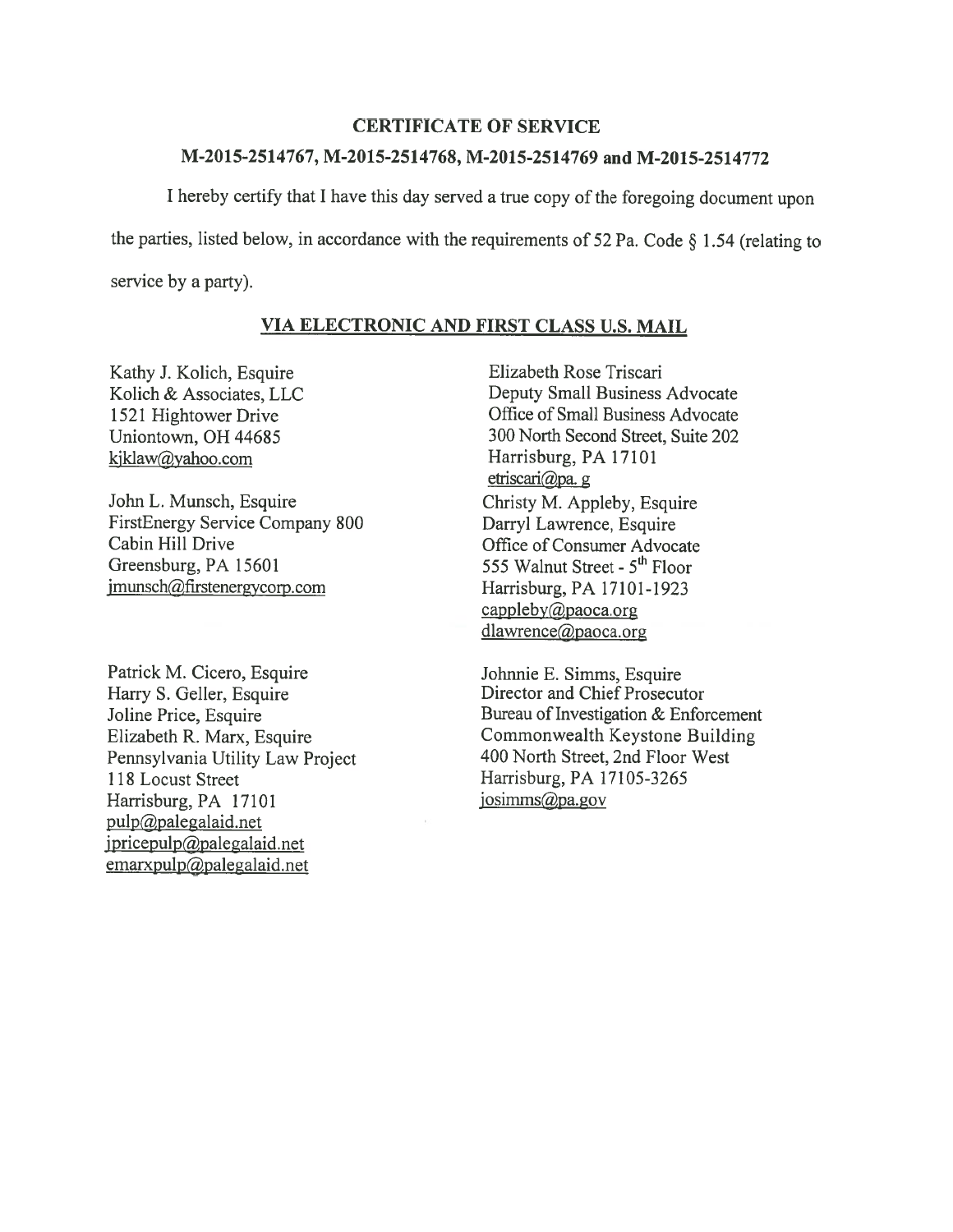## CERTIFICATE OF SERVICE

## M-2015-2514767, M-2015-2514768, M-2015-2514769 and M-2015-2514772

I hereby certify that I have this day served a true copy of the foregoing document upon the parties, listed below, in accordance with the requirements of 52 Pa. Code  $\S$  1.54 (relating to service by <sup>a</sup> party).

## VIA ELECTRONIC AND FIRST CLASS U.S. MAIL

Kathy J. Kolich, Esquire Kolich & Associates, LLC 1521 Hightower Drive Uniontown, OH 44685 kjklaw@yahoo.com

John L. Munsch, Esquire FirstEnergy Service Company \$00 Cabin Hill Drive Greensburg, PA 15601 jmunsch@firstenergvcorp.com

Patrick M. Cicero, Esquire Harry S. Geller, Esquire Joline Price, Esquire Elizabeth R. Marx, Esquire Pennsylvania Utility Law Project 118 Locust Street Harrisburg, PA 17101 pulp@palegalaid.net jpricepulp@palegalaid.net  $emaryulp( $\omega$ )<sub>p</sub>alegalaid.net$ 

Elizabeth Rose Triscari Deputy Small Business Advocate Office of Small Business Advocate 300 North Second Street, Suite 202 Harrisburg, PA 17101 etriscari@pa. g Christy M. Appleby, Esquire Darryl Lawrence, Esquire Office of Consumer Advocate 555 Walnut Street - 5<sup>th</sup> Floor Harrisburg, PA 17101-1923 cappleby@paoca.org dlawrence@paoca.org

Johnnie E. Simms, Esquire Director and Chief Prosecutor Bureau of Investigation & Enforcement Commonwealth Keystone Building 400 North Street, 2nd Floor West Harrisburg, PA 17 105-3265 iosimms@pa.gov